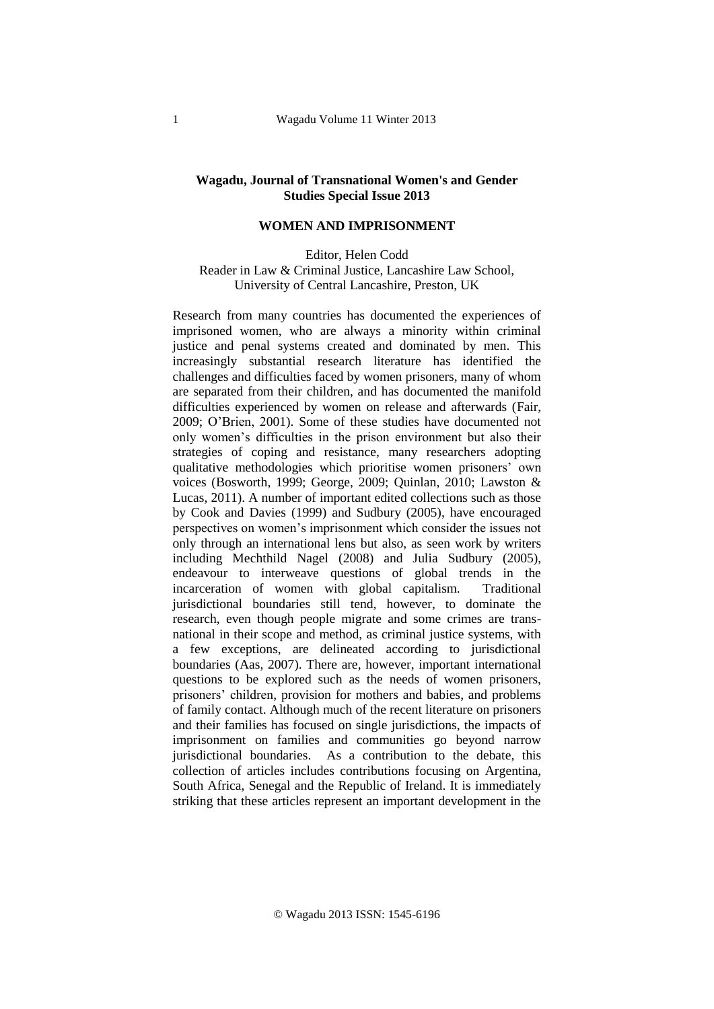## **Wagadu, Journal of Transnational Women's and Gender Studies Special Issue 2013**

## **WOMEN AND IMPRISONMENT**

Editor, Helen Codd Reader in Law & Criminal Justice, Lancashire Law School, University of Central Lancashire, Preston, UK

Research from many countries has documented the experiences of imprisoned women, who are always a minority within criminal justice and penal systems created and dominated by men. This increasingly substantial research literature has identified the challenges and difficulties faced by women prisoners, many of whom are separated from their children, and has documented the manifold difficulties experienced by women on release and afterwards (Fair, 2009; O'Brien, 2001). Some of these studies have documented not only women's difficulties in the prison environment but also their strategies of coping and resistance, many researchers adopting qualitative methodologies which prioritise women prisoners' own voices (Bosworth, 1999; George, 2009; Quinlan, 2010; Lawston & Lucas, 2011). A number of important edited collections such as those by Cook and Davies (1999) and Sudbury (2005), have encouraged perspectives on women's imprisonment which consider the issues not only through an international lens but also, as seen work by writers including Mechthild Nagel (2008) and Julia Sudbury (2005), endeavour to interweave questions of global trends in the incarceration of women with global capitalism. Traditional jurisdictional boundaries still tend, however, to dominate the research, even though people migrate and some crimes are transnational in their scope and method, as criminal justice systems, with a few exceptions, are delineated according to jurisdictional boundaries (Aas, 2007). There are, however, important international questions to be explored such as the needs of women prisoners, prisoners' children, provision for mothers and babies, and problems of family contact. Although much of the recent literature on prisoners and their families has focused on single jurisdictions, the impacts of imprisonment on families and communities go beyond narrow jurisdictional boundaries. As a contribution to the debate, this collection of articles includes contributions focusing on Argentina, South Africa, Senegal and the Republic of Ireland. It is immediately striking that these articles represent an important development in the

© Wagadu 2013 ISSN: 1545-6196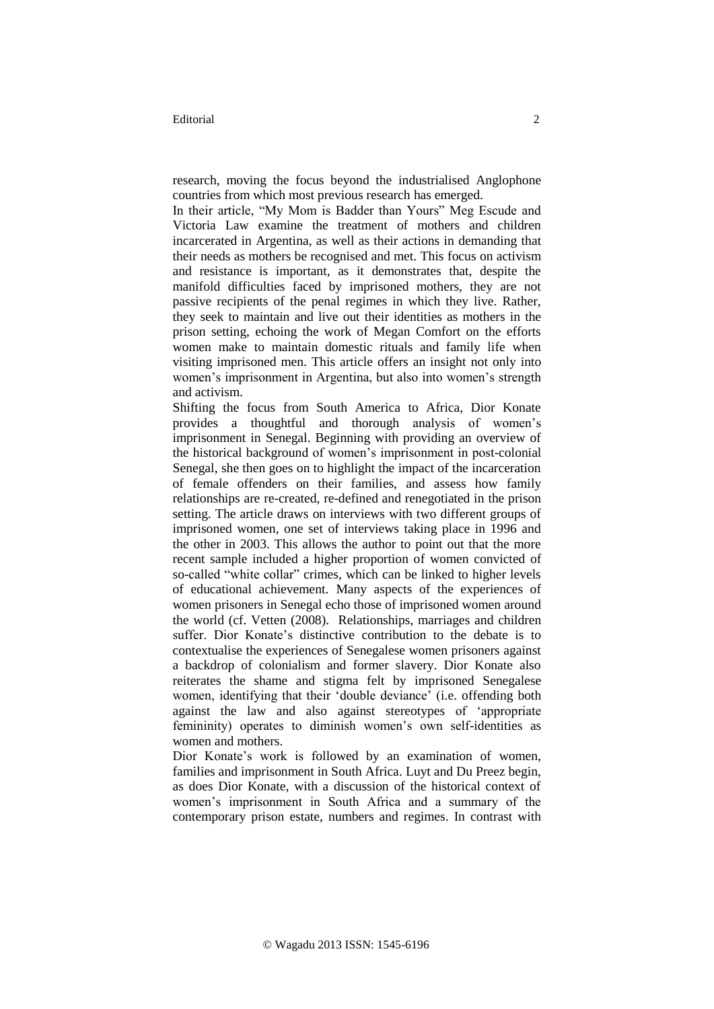research, moving the focus beyond the industrialised Anglophone countries from which most previous research has emerged.

In their article, "My Mom is Badder than Yours" Meg Escude and Victoria Law examine the treatment of mothers and children incarcerated in Argentina, as well as their actions in demanding that their needs as mothers be recognised and met. This focus on activism and resistance is important, as it demonstrates that, despite the manifold difficulties faced by imprisoned mothers, they are not passive recipients of the penal regimes in which they live. Rather, they seek to maintain and live out their identities as mothers in the prison setting, echoing the work of Megan Comfort on the efforts women make to maintain domestic rituals and family life when visiting imprisoned men. This article offers an insight not only into women's imprisonment in Argentina, but also into women's strength and activism.

Shifting the focus from South America to Africa, Dior Konate provides a thoughtful and thorough analysis of women's imprisonment in Senegal. Beginning with providing an overview of the historical background of women's imprisonment in post-colonial Senegal, she then goes on to highlight the impact of the incarceration of female offenders on their families, and assess how family relationships are re-created, re-defined and renegotiated in the prison setting. The article draws on interviews with two different groups of imprisoned women, one set of interviews taking place in 1996 and the other in 2003. This allows the author to point out that the more recent sample included a higher proportion of women convicted of so-called "white collar" crimes, which can be linked to higher levels of educational achievement. Many aspects of the experiences of women prisoners in Senegal echo those of imprisoned women around the world (cf. Vetten (2008). Relationships, marriages and children suffer. Dior Konate's distinctive contribution to the debate is to contextualise the experiences of Senegalese women prisoners against a backdrop of colonialism and former slavery. Dior Konate also reiterates the shame and stigma felt by imprisoned Senegalese women, identifying that their 'double deviance' (i.e. offending both against the law and also against stereotypes of 'appropriate femininity) operates to diminish women's own self-identities as women and mothers.

Dior Konate's work is followed by an examination of women, families and imprisonment in South Africa. Luyt and Du Preez begin, as does Dior Konate, with a discussion of the historical context of women's imprisonment in South Africa and a summary of the contemporary prison estate, numbers and regimes. In contrast with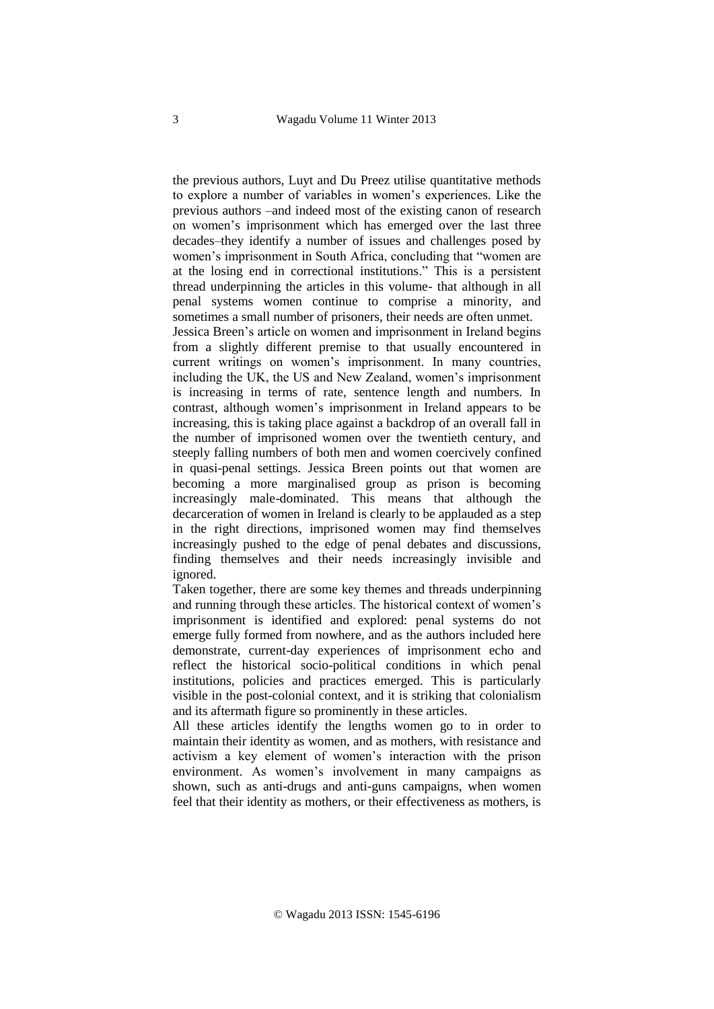the previous authors, Luyt and Du Preez utilise quantitative methods to explore a number of variables in women's experiences. Like the previous authors –and indeed most of the existing canon of research on women's imprisonment which has emerged over the last three decades–they identify a number of issues and challenges posed by women's imprisonment in South Africa, concluding that "women are at the losing end in correctional institutions." This is a persistent thread underpinning the articles in this volume- that although in all penal systems women continue to comprise a minority, and sometimes a small number of prisoners, their needs are often unmet.

Jessica Breen's article on women and imprisonment in Ireland begins from a slightly different premise to that usually encountered in current writings on women's imprisonment. In many countries, including the UK, the US and New Zealand, women's imprisonment is increasing in terms of rate, sentence length and numbers. In contrast, although women's imprisonment in Ireland appears to be increasing, this is taking place against a backdrop of an overall fall in the number of imprisoned women over the twentieth century, and steeply falling numbers of both men and women coercively confined in quasi-penal settings. Jessica Breen points out that women are becoming a more marginalised group as prison is becoming increasingly male-dominated. This means that although the decarceration of women in Ireland is clearly to be applauded as a step in the right directions, imprisoned women may find themselves increasingly pushed to the edge of penal debates and discussions, finding themselves and their needs increasingly invisible and ignored.

Taken together, there are some key themes and threads underpinning and running through these articles. The historical context of women's imprisonment is identified and explored: penal systems do not emerge fully formed from nowhere, and as the authors included here demonstrate, current-day experiences of imprisonment echo and reflect the historical socio-political conditions in which penal institutions, policies and practices emerged. This is particularly visible in the post-colonial context, and it is striking that colonialism and its aftermath figure so prominently in these articles.

All these articles identify the lengths women go to in order to maintain their identity as women, and as mothers, with resistance and activism a key element of women's interaction with the prison environment. As women's involvement in many campaigns as shown, such as anti-drugs and anti-guns campaigns, when women feel that their identity as mothers, or their effectiveness as mothers, is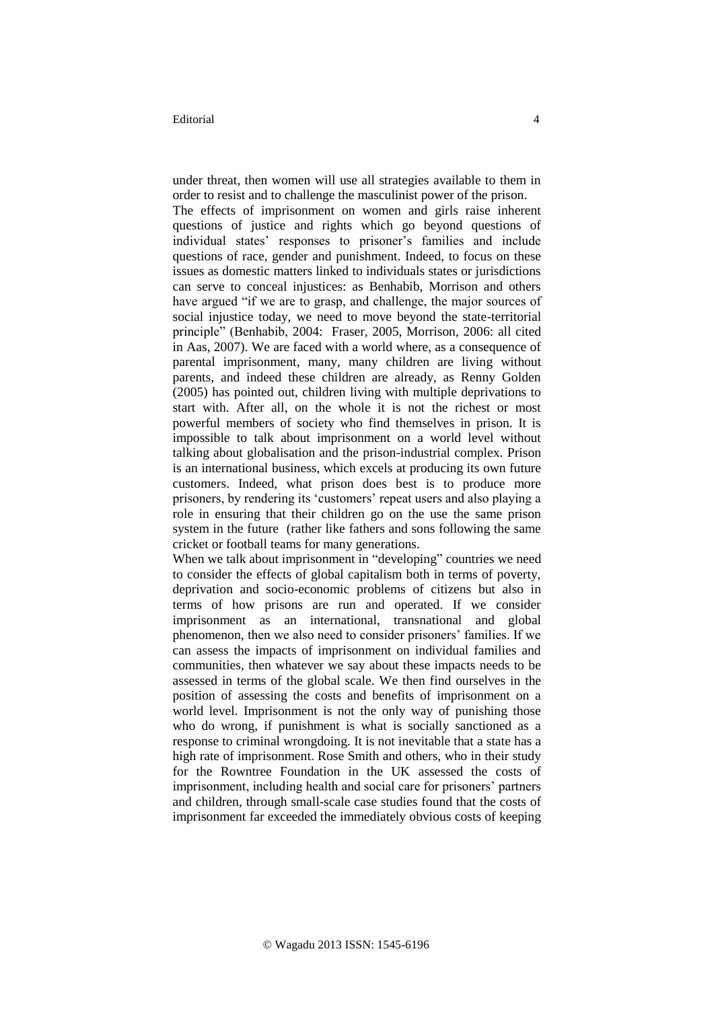## Editorial 4

under threat, then women will use all strategies available to them in order to resist and to challenge the masculinist power of the prison.

The effects of imprisonment on women and girls raise inherent questions of justice and rights which go beyond questions of individual states' responses to prisoner's families and include questions of race, gender and punishment. Indeed, to focus on these issues as domestic matters linked to individuals states or jurisdictions can serve to conceal injustices: as Benhabib, Morrison and others have argued "if we are to grasp, and challenge, the major sources of social injustice today, we need to move beyond the state-territorial principle" (Benhabib, 2004: Fraser, 2005, Morrison, 2006: all cited in Aas, 2007). We are faced with a world where, as a consequence of parental imprisonment, many, many children are living without parents, and indeed these children are already, as Renny Golden (2005) has pointed out, children living with multiple deprivations to start with. After all, on the whole it is not the richest or most powerful members of society who find themselves in prison. It is impossible to talk about imprisonment on a world level without talking about globalisation and the prison-industrial complex. Prison is an international business, which excels at producing its own future customers. Indeed, what prison does best is to produce more prisoners, by rendering its 'customers' repeat users and also playing a role in ensuring that their children go on the use the same prison system in the future (rather like fathers and sons following the same cricket or football teams for many generations.

When we talk about imprisonment in "developing" countries we need to consider the effects of global capitalism both in terms of poverty, deprivation and socio-economic problems of citizens but also in terms of how prisons are run and operated. If we consider imprisonment as an international, transnational and global phenomenon, then we also need to consider prisoners' families. If we can assess the impacts of imprisonment on individual families and communities, then whatever we say about these impacts needs to be assessed in terms of the global scale. We then find ourselves in the position of assessing the costs and benefits of imprisonment on a world level. Imprisonment is not the only way of punishing those who do wrong, if punishment is what is socially sanctioned as a response to criminal wrongdoing. It is not inevitable that a state has a high rate of imprisonment. Rose Smith and others, who in their study for the Rowntree Foundation in the UK assessed the costs of imprisonment, including health and social care for prisoners' partners and children, through small-scale case studies found that the costs of imprisonment far exceeded the immediately obvious costs of keeping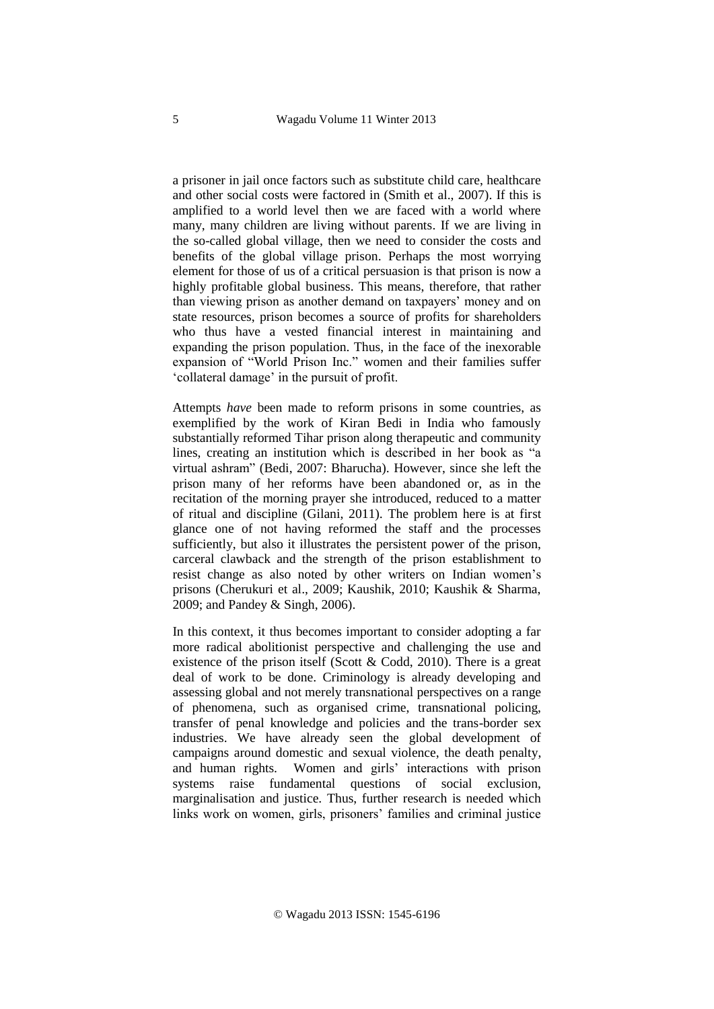a prisoner in jail once factors such as substitute child care, healthcare and other social costs were factored in (Smith et al., 2007). If this is amplified to a world level then we are faced with a world where many, many children are living without parents. If we are living in the so-called global village, then we need to consider the costs and benefits of the global village prison. Perhaps the most worrying element for those of us of a critical persuasion is that prison is now a highly profitable global business. This means, therefore, that rather than viewing prison as another demand on taxpayers' money and on state resources, prison becomes a source of profits for shareholders who thus have a vested financial interest in maintaining and expanding the prison population. Thus, in the face of the inexorable expansion of "World Prison Inc." women and their families suffer 'collateral damage' in the pursuit of profit.

Attempts *have* been made to reform prisons in some countries, as exemplified by the work of Kiran Bedi in India who famously substantially reformed Tihar prison along therapeutic and community lines, creating an institution which is described in her book as "a virtual ashram" (Bedi, 2007: Bharucha). However, since she left the prison many of her reforms have been abandoned or, as in the recitation of the morning prayer she introduced, reduced to a matter of ritual and discipline (Gilani, 2011). The problem here is at first glance one of not having reformed the staff and the processes sufficiently, but also it illustrates the persistent power of the prison, carceral clawback and the strength of the prison establishment to resist change as also noted by other writers on Indian women's prisons (Cherukuri et al., 2009; Kaushik, 2010; Kaushik & Sharma, 2009; and Pandey & Singh, 2006).

In this context, it thus becomes important to consider adopting a far more radical abolitionist perspective and challenging the use and existence of the prison itself (Scott & Codd, 2010). There is a great deal of work to be done. Criminology is already developing and assessing global and not merely transnational perspectives on a range of phenomena, such as organised crime, transnational policing, transfer of penal knowledge and policies and the trans-border sex industries. We have already seen the global development of campaigns around domestic and sexual violence, the death penalty, and human rights. Women and girls' interactions with prison systems raise fundamental questions of social exclusion, marginalisation and justice. Thus, further research is needed which links work on women, girls, prisoners' families and criminal justice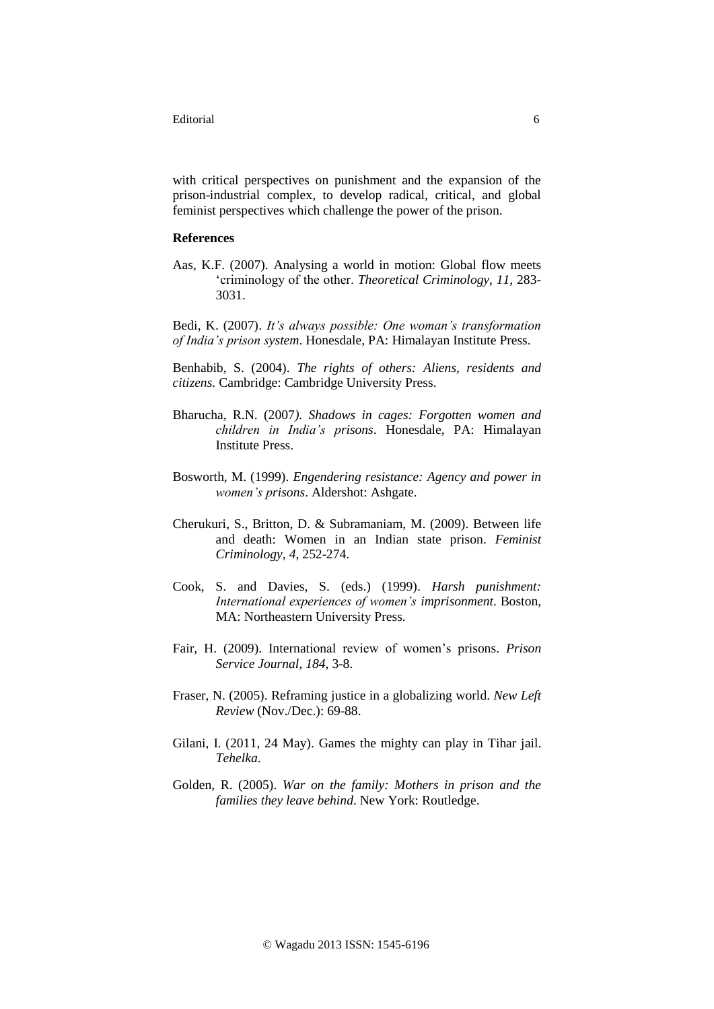Editorial 6

with critical perspectives on punishment and the expansion of the prison-industrial complex, to develop radical, critical, and global feminist perspectives which challenge the power of the prison.

## **References**

Aas, K.F. (2007). Analysing a world in motion: Global flow meets 'criminology of the other. *Theoretical Criminology*, *11*, 283- 3031.

Bedi, K. (2007). *It's always possible: One woman's transformation of India's prison system*. Honesdale, PA: Himalayan Institute Press.

Benhabib, S. (2004). *The rights of others: Aliens, residents and citizens.* Cambridge: Cambridge University Press.

- Bharucha, R.N. (2007*). Shadows in cages: Forgotten women and children in India's prisons*. Honesdale, PA: Himalayan Institute Press.
- Bosworth, M. (1999). *Engendering resistance: Agency and power in women's prisons*. Aldershot: Ashgate.
- Cherukuri, S., Britton, D. & Subramaniam, M. (2009). Between life and death: Women in an Indian state prison. *Feminist Criminology*, *4*, 252-274.
- Cook, S. and Davies, S. (eds.) (1999). *Harsh punishment: International experiences of women's imprisonment*. Boston, MA: Northeastern University Press.
- Fair, H. (2009). International review of women's prisons. *Prison Service Journal*, *184*, 3-8.
- Fraser, N. (2005). Reframing justice in a globalizing world. *New Left Review* (Nov./Dec.): 69-88.
- Gilani, I. (2011, 24 May). Games the mighty can play in Tihar jail. *Tehelka*.
- Golden, R. (2005). *War on the family: Mothers in prison and the families they leave behind*. New York: Routledge.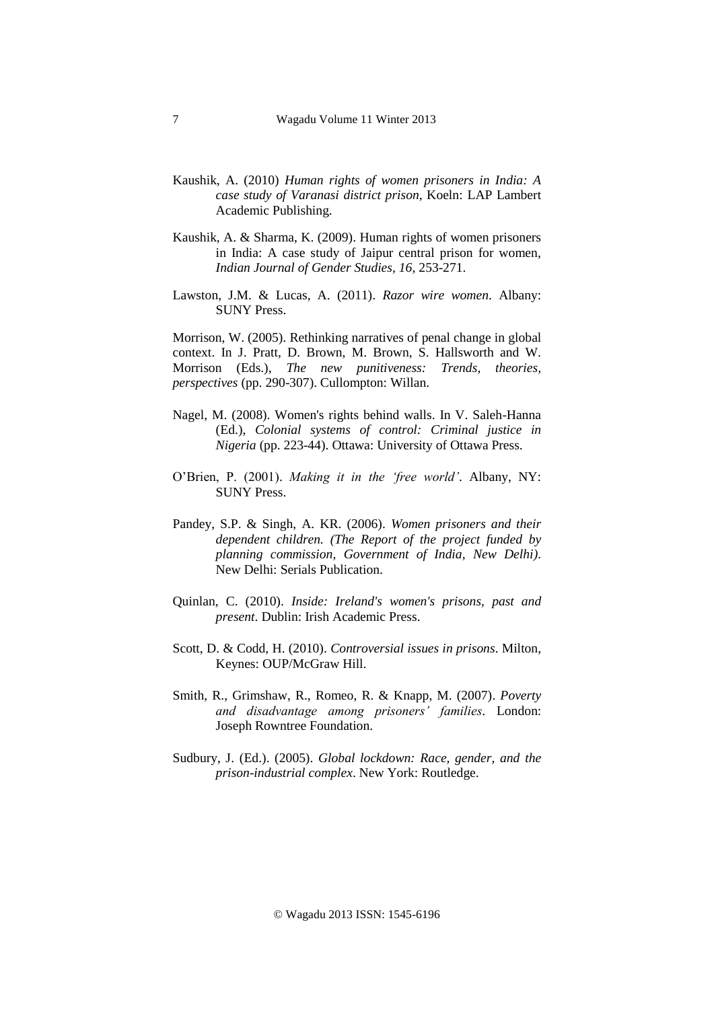- Kaushik, A. (2010) *Human rights of women prisoners in India: A case study of Varanasi district prison*, Koeln: LAP Lambert Academic Publishing.
- Kaushik, A. & Sharma, K. (2009). Human rights of women prisoners in India: A case study of Jaipur central prison for women, *Indian Journal of Gender Studies, 16*, 253-271.
- Lawston, J.M. & Lucas, A. (2011). *Razor wire women*. Albany: SUNY Press.

Morrison, W. (2005). Rethinking narratives of penal change in global context. In J. Pratt, D. Brown, M. Brown, S. Hallsworth and W. Morrison (Eds.), *The new punitiveness: Trends, theories, perspectives* (pp. 290-307). Cullompton: Willan.

- Nagel, M. (2008). Women's rights behind walls. In V. Saleh-Hanna (Ed.), *Colonial systems of control: Criminal justice in Nigeria* (pp. 223-44). Ottawa: University of Ottawa Press.
- O'Brien, P. (2001). *Making it in the 'free world'*. Albany, NY: SUNY Press.
- Pandey, S.P. & Singh, A. KR. (2006). *Women prisoners and their dependent children. (The Report of the project funded by planning commission, Government of India, New Delhi).*  New Delhi: Serials Publication.
- Quinlan, C. (2010). *Inside: Ireland's women's prisons, past and present*. Dublin: Irish Academic Press.
- Scott, D. & Codd, H. (2010). *Controversial issues in prisons*. Milton, Keynes: OUP/McGraw Hill.
- Smith, R., Grimshaw, R., Romeo, R. & Knapp, M. (2007). *Poverty and disadvantage among prisoners' families.* London: Joseph Rowntree Foundation.
- Sudbury, J. (Ed.). (2005). *Global lockdown: Race, gender, and the prison-industrial complex*. New York: Routledge.